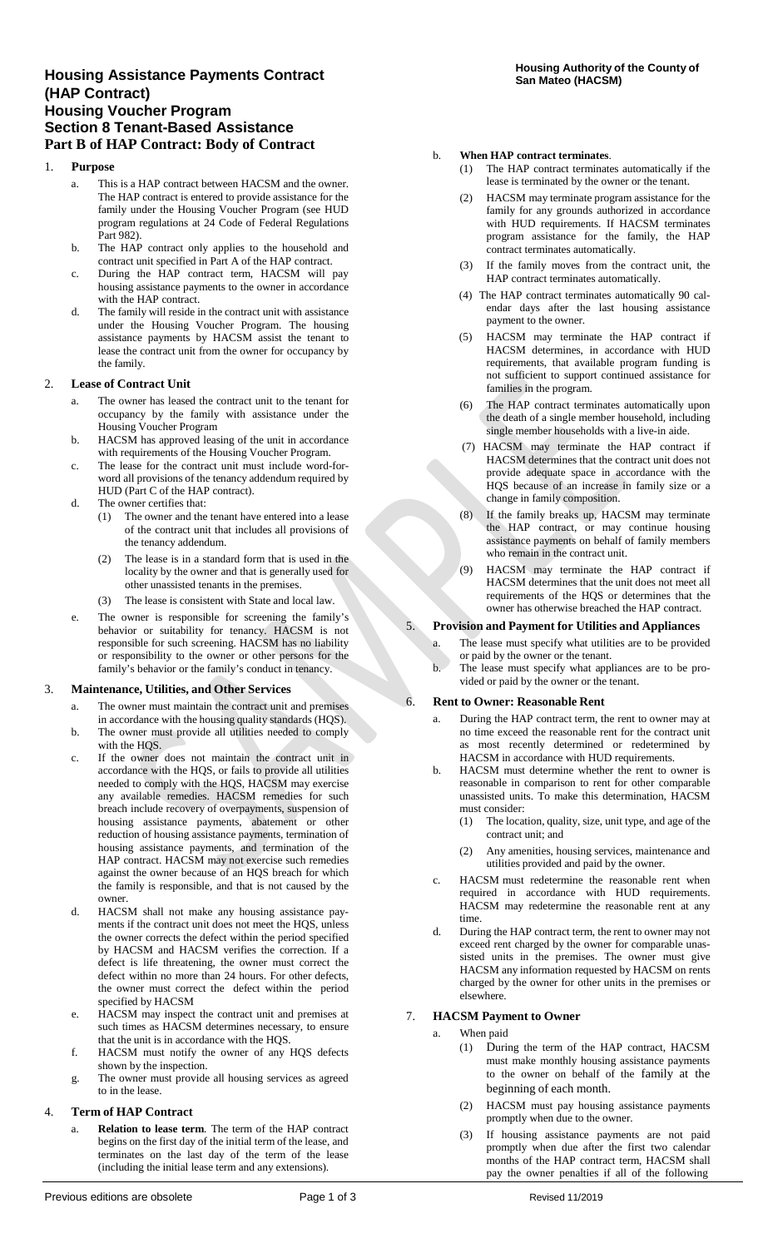#### 1. **Purpose**

- a. This is a HAP contract between HACSM and the owner. The HAP contract is entered to provide assistance for the family under the Housing Voucher Program (see HUD program regulations at 24 Code of Federal Regulations Part 982).
- b. The HAP contract only applies to the household and contract unit specified in Part A of the HAP contract.
- c. During the HAP contract term, HACSM will pay housing assistance payments to the owner in accordance with the HAP contract.
- d. The family will reside in the contract unit with assistance under the Housing Voucher Program. The housing assistance payments by HACSM assist the tenant to lease the contract unit from the owner for occupancy by the family.

### 2. **Lease of Contract Unit**

- a. The owner has leased the contract unit to the tenant for occupancy by the family with assistance under the Housing Voucher Program
- b. HACSM has approved leasing of the unit in accordance with requirements of the Housing Voucher Program.
- c. The lease for the contract unit must include word-forword all provisions of the tenancy addendum required by HUD (Part C of the HAP contract).
- d. The owner certifies that:
	- (1) The owner and the tenant have entered into a lease of the contract unit that includes all provisions of the tenancy addendum.
	- (2) The lease is in a standard form that is used in the locality by the owner and that is generally used for other unassisted tenants in the premises.
	- (3) The lease is consistent with State and local law.
- e. The owner is responsible for screening the family's behavior or suitability for tenancy. HACSM is not responsible for such screening. HACSM has no liability or responsibility to the owner or other persons for the family's behavior or the family's conduct in tenancy.

#### 3. **Maintenance, Utilities, and Other Services**

- The owner must maintain the contract unit and premises in accordance with the housing quality standards (HQS).
- b. The owner must provide all utilities needed to comply with the HQS.
- c. If the owner does not maintain the contract unit in accordance with the HQS, or fails to provide all utilities needed to comply with the HQS, HACSM may exercise any available remedies. HACSM remedies for such breach include recovery of overpayments, suspension of housing assistance payments, abatement or other reduction of housing assistance payments, termination of housing assistance payments, and termination of the HAP contract. HACSM may not exercise such remedies against the owner because of an HQS breach for which the family is responsible, and that is not caused by the owner.
- d. HACSM shall not make any housing assistance payments if the contract unit does not meet the HQS, unless the owner corrects the defect within the period specified by HACSM and HACSM verifies the correction. If a defect is life threatening, the owner must correct the defect within no more than 24 hours. For other defects, the owner must correct the defect within the period specified by HACSM
- e. HACSM may inspect the contract unit and premises at such times as HACSM determines necessary, to ensure that the unit is in accordance with the HQS.
- f. HACSM must notify the owner of any HQS defects shown by the inspection.
- g. The owner must provide all housing services as agreed to in the lease.

# 4. **Term of HAP Contract**

a. **Relation to lease term**. The term of the HAP contract begins on the first day of the initial term of the lease, and terminates on the last day of the term of the lease (including the initial lease term and any extensions).

- b. **When HAP contract terminates**.
	- (1) The HAP contract terminates automatically if the lease is terminated by the owner or the tenant.
	- (2) HACSM may terminate program assistance for the family for any grounds authorized in accordance with HUD requirements. If HACSM terminates program assistance for the family, the HAP contract terminates automatically.
	- (3) If the family moves from the contract unit, the HAP contract terminates automatically.
	- (4) The HAP contract terminates automatically 90 calendar days after the last housing assistance payment to the owner.
	- (5) HACSM may terminate the HAP contract if HACSM determines, in accordance with HUD requirements, that available program funding is not sufficient to support continued assistance for families in the program.
	- (6) The HAP contract terminates automatically upon the death of a single member household, including single member households with a live-in aide.
	- (7) HACSM may terminate the HAP contract if HACSM determines that the contract unit does not provide adequate space in accordance with the HQS because of an increase in family size or a change in family composition.
	- (8) If the family breaks up, HACSM may terminate the HAP contract, or may continue housing assistance payments on behalf of family members who remain in the contract unit.
	- HACSM may terminate the HAP contract if HACSM determines that the unit does not meet all requirements of the HQS or determines that the owner has otherwise breached the HAP contract.

#### 5. **Provision and Payment for Utilities and Appliances**

- a. The lease must specify what utilities are to be provided or paid by the owner or the tenant.
- b. The lease must specify what appliances are to be provided or paid by the owner or the tenant.

#### 6. **Rent to Owner: Reasonable Rent**

- During the HAP contract term, the rent to owner may at no time exceed the reasonable rent for the contract unit as most recently determined or redetermined by HACSM in accordance with HUD requirements.
- b. HACSM must determine whether the rent to owner is reasonable in comparison to rent for other comparable unassisted units. To make this determination, HACSM must consider:
	- (1) The location, quality, size, unit type, and age of the contract unit; and
	- (2) Any amenities, housing services, maintenance and utilities provided and paid by the owner.
- c. HACSM must redetermine the reasonable rent when required in accordance with HUD requirements. HACSM may redetermine the reasonable rent at any time.
- d. During the HAP contract term, the rent to owner may not exceed rent charged by the owner for comparable unassisted units in the premises. The owner must give HACSM any information requested by HACSM on rents charged by the owner for other units in the premises or elsewhere.

## 7. **HACSM Payment to Owner**

- a. When paid
	- (1) During the term of the HAP contract, HACSM must make monthly housing assistance payments to the owner on behalf of the family at the beginning of each month.
	- (2) HACSM must pay housing assistance payments promptly when due to the owner.
	- (3) If housing assistance payments are not paid promptly when due after the first two calendar months of the HAP contract term, HACSM shall pay the owner penalties if all of the following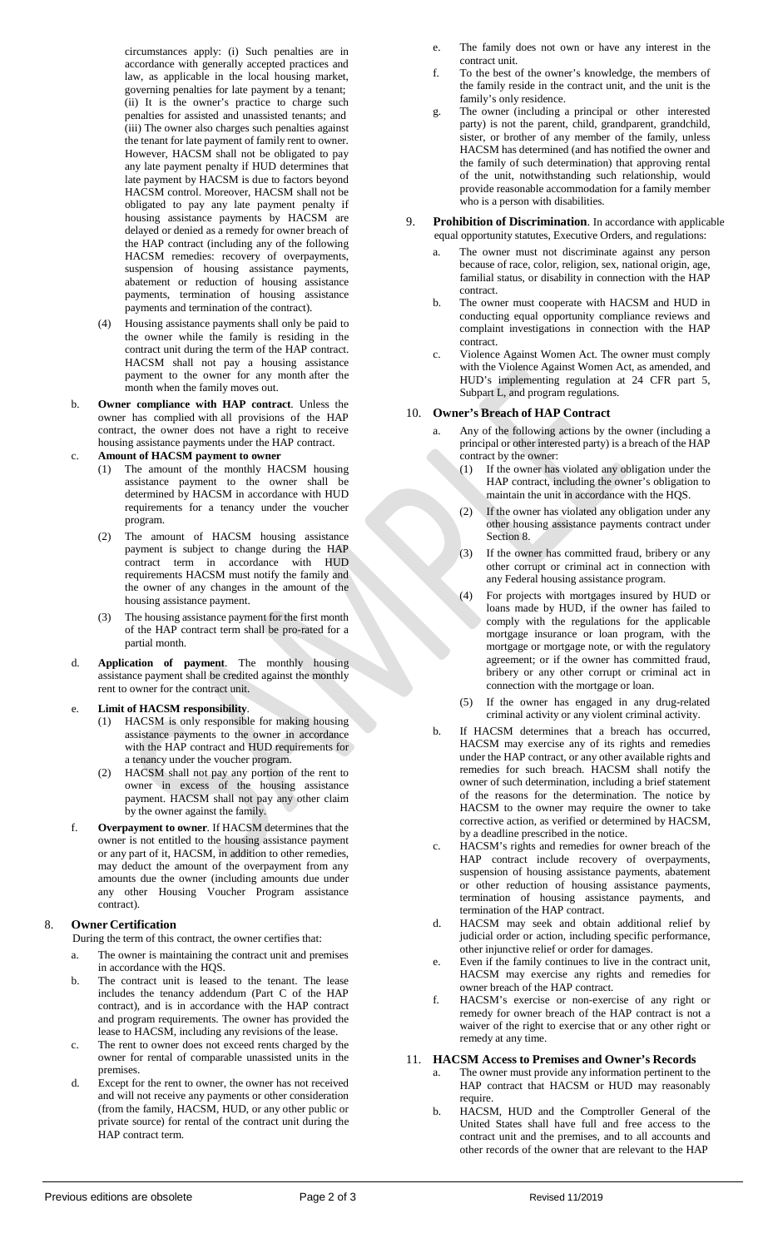circumstances apply: (i) Such penalties are in accordance with generally accepted practices and law, as applicable in the local housing market, governing penalties for late payment by a tenant; (ii) It is the owner's practice to charge such penalties for assisted and unassisted tenants; and (iii) The owner also charges such penalties against the tenant for late payment of family rent to owner. However, HACSM shall not be obligated to pay any late payment penalty if HUD determines that late payment by HACSM is due to factors beyond HACSM control. Moreover, HACSM shall not be obligated to pay any late payment penalty if housing assistance payments by HACSM are delayed or denied as a remedy for owner breach of the HAP contract (including any of the following HACSM remedies: recovery of overpayments, suspension of housing assistance payments, abatement or reduction of housing assistance payments, termination of housing assistance payments and termination of the contract).

- (4) Housing assistance payments shall only be paid to the owner while the family is residing in the contract unit during the term of the HAP contract. HACSM shall not pay a housing assistance payment to the owner for any month after the month when the family moves out.
- b. **Owner compliance with HAP contract**. Unless the owner has complied with all provisions of the HAP contract, the owner does not have a right to receive housing assistance payments under the HAP contract.

#### c. **Amount of HACSM payment to owner**

- (1) The amount of the monthly HACSM housing assistance payment to the owner shall be determined by HACSM in accordance with HUD requirements for a tenancy under the voucher program.
- (2) The amount of HACSM housing assistance payment is subject to change during the HAP contract term in accordance with HUD requirements HACSM must notify the family and the owner of any changes in the amount of the housing assistance payment.
- (3) The housing assistance payment for the first month of the HAP contract term shall be pro-rated for a partial month.
- d. **Application of payment**. The monthly housing assistance payment shall be credited against the monthly rent to owner for the contract unit.

### e. **Limit of HACSM responsibility**.

- (1) HACSM is only responsible for making housing assistance payments to the owner in accordance with the HAP contract and HUD requirements for a tenancy under the voucher program.
- (2) HACSM shall not pay any portion of the rent to owner in excess of the housing assistance payment. HACSM shall not pay any other claim by the owner against the family.
- f. **Overpayment to owner**. If HACSM determines that the owner is not entitled to the housing assistance payment or any part of it, HACSM, in addition to other remedies, may deduct the amount of the overpayment from any amounts due the owner (including amounts due under any other Housing Voucher Program assistance contract).

# 8. **Owner Certification**

During the term of this contract, the owner certifies that:

- The owner is maintaining the contract unit and premises in accordance with the HQS.
- b. The contract unit is leased to the tenant. The lease includes the tenancy addendum (Part C of the HAP contract), and is in accordance with the HAP contract and program requirements. The owner has provided the lease to HACSM, including any revisions of the lease.
- c. The rent to owner does not exceed rents charged by the owner for rental of comparable unassisted units in the premises.
- d. Except for the rent to owner, the owner has not received and will not receive any payments or other consideration (from the family, HACSM, HUD, or any other public or private source) for rental of the contract unit during the HAP contract term.
- e. The family does not own or have any interest in the contract unit.
- f. To the best of the owner's knowledge, the members of the family reside in the contract unit, and the unit is the family's only residence.
- g. The owner (including a principal or other interested party) is not the parent, child, grandparent, grandchild, sister, or brother of any member of the family, unless HACSM has determined (and has notified the owner and the family of such determination) that approving rental of the unit, notwithstanding such relationship, would provide reasonable accommodation for a family member who is a person with disabilities.

### 9. **Prohibition of Discrimination**. In accordance with applicable equal opportunity statutes, Executive Orders, and regulations:

- a. The owner must not discriminate against any person because of race, color, religion, sex, national origin, age, familial status, or disability in connection with the HAP contract.
- b. The owner must cooperate with HACSM and HUD in conducting equal opportunity compliance reviews and complaint investigations in connection with the HAP contract.
- c. Violence Against Women Act. The owner must comply with the Violence Against Women Act, as amended, and HUD's implementing regulation at 24 CFR part 5, Subpart L, and program regulations.

# 10. **Owner's Breach of HAP Contract**

- Any of the following actions by the owner (including a principal or other interested party) is a breach of the HAP contract by the owner:
	- (1) If the owner has violated any obligation under the HAP contract, including the owner's obligation to maintain the unit in accordance with the HQS.
	- (2) If the owner has violated any obligation under any other housing assistance payments contract under Section 8.
	- (3) If the owner has committed fraud, bribery or any other corrupt or criminal act in connection with any Federal housing assistance program.
	- (4) For projects with mortgages insured by HUD or loans made by HUD, if the owner has failed to comply with the regulations for the applicable mortgage insurance or loan program, with the mortgage or mortgage note, or with the regulatory agreement; or if the owner has committed fraud, bribery or any other corrupt or criminal act in connection with the mortgage or loan.
	- (5) If the owner has engaged in any drug-related criminal activity or any violent criminal activity.
- b. If HACSM determines that a breach has occurred, HACSM may exercise any of its rights and remedies under the HAP contract, or any other available rights and remedies for such breach. HACSM shall notify the owner of such determination, including a brief statement of the reasons for the determination. The notice by HACSM to the owner may require the owner to take corrective action, as verified or determined by HACSM, by a deadline prescribed in the notice.
- c. HACSM's rights and remedies for owner breach of the HAP contract include recovery of overpayments, suspension of housing assistance payments, abatement or other reduction of housing assistance payments, termination of housing assistance payments, and termination of the HAP contract.
- d. HACSM may seek and obtain additional relief by judicial order or action, including specific performance, other injunctive relief or order for damages.
- e. Even if the family continues to live in the contract unit, HACSM may exercise any rights and remedies for owner breach of the HAP contract.
- f. HACSM's exercise or non-exercise of any right or remedy for owner breach of the HAP contract is not a waiver of the right to exercise that or any other right or remedy at any time.

# 11. **HACSM Access to Premises and Owner's Records**

- The owner must provide any information pertinent to the HAP contract that HACSM or HUD may reasonably require.
- b. HACSM, HUD and the Comptroller General of the United States shall have full and free access to the contract unit and the premises, and to all accounts and other records of the owner that are relevant to the HAP